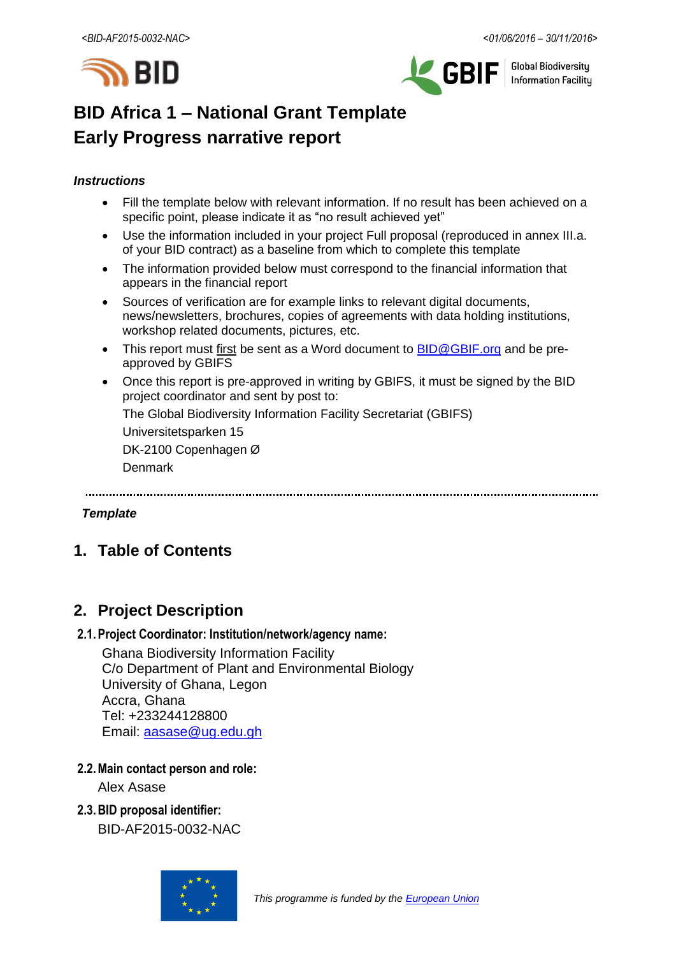



**Global Biodiversity Information Facilitu** 

# **BID Africa 1 – National Grant Template Early Progress narrative report**

### *Instructions*

- Fill the template below with relevant information. If no result has been achieved on a specific point, please indicate it as "no result achieved yet"
- Use the information included in your project Full proposal (reproduced in annex III.a. of your BID contract) as a baseline from which to complete this template
- The information provided below must correspond to the financial information that appears in the financial report
- Sources of verification are for example links to relevant digital documents, news/newsletters, brochures, copies of agreements with data holding institutions, workshop related documents, pictures, etc.
- This report must first be sent as a Word document to **BID@GBIF.org** and be preapproved by GBIFS
- Once this report is pre-approved in writing by GBIFS, it must be signed by the BID project coordinator and sent by post to:

The Global Biodiversity Information Facility Secretariat (GBIFS)

Universitetsparken 15

DK-2100 Copenhagen Ø

Denmark

#### *Template*

# **1. Table of Contents**

# **2. Project Description**

### **2.1.Project Coordinator: Institution/network/agency name:**

Ghana Biodiversity Information Facility C/o Department of Plant and Environmental Biology University of Ghana, Legon Accra, Ghana Tel: +233244128800 Email: [aasase@ug.edu.gh](mailto:aasase@ug.edu.gh)

### **2.2.Main contact person and role:**

Alex Asase

**2.3.BID proposal identifier:** BID-AF2015-0032-NAC

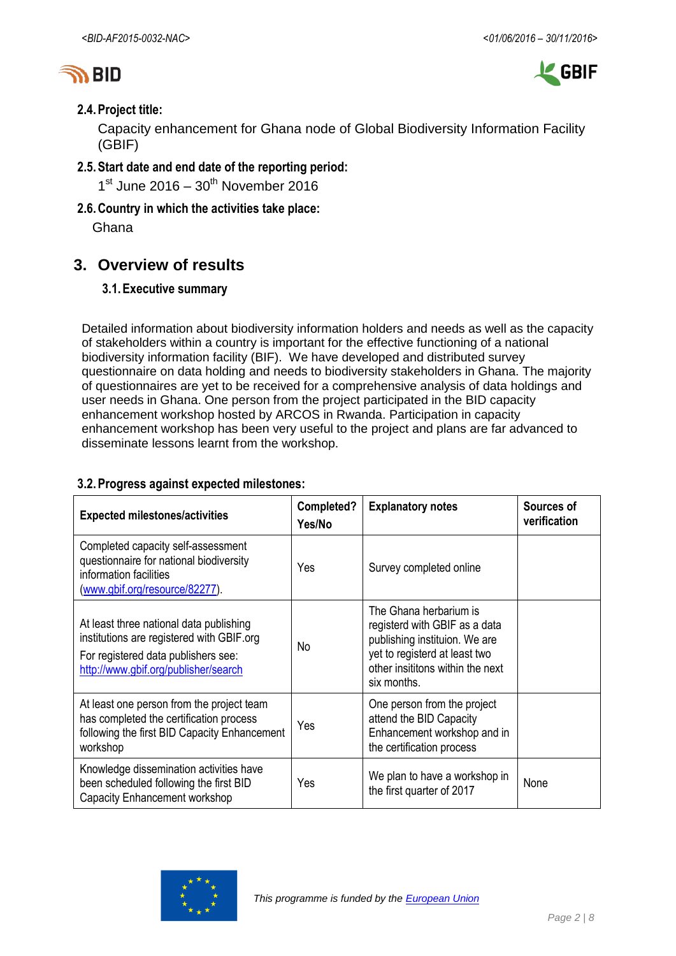



### **2.4.Project title:**

Capacity enhancement for Ghana node of Global Biodiversity Information Facility (GBIF)

**2.5.Start date and end date of the reporting period:**

 $1<sup>st</sup>$  June 2016 –  $30<sup>th</sup>$  November 2016

**2.6.Country in which the activities take place:**

Ghana

# **3. Overview of results**

### **3.1.Executive summary**

Detailed information about biodiversity information holders and needs as well as the capacity of stakeholders within a country is important for the effective functioning of a national biodiversity information facility (BIF). We have developed and distributed survey questionnaire on data holding and needs to biodiversity stakeholders in Ghana. The majority of questionnaires are yet to be received for a comprehensive analysis of data holdings and user needs in Ghana. One person from the project participated in the BID capacity enhancement workshop hosted by ARCOS in Rwanda. Participation in capacity enhancement workshop has been very useful to the project and plans are far advanced to disseminate lessons learnt from the workshop.

### **3.2.Progress against expected milestones:**

| <b>Expected milestones/activities</b>                                                                                                                               | Completed?<br>Yes/No | <b>Explanatory notes</b>                                                                                                                                                     | Sources of<br>verification |
|---------------------------------------------------------------------------------------------------------------------------------------------------------------------|----------------------|------------------------------------------------------------------------------------------------------------------------------------------------------------------------------|----------------------------|
| Completed capacity self-assessment<br>questionnaire for national biodiversity<br>information facilities<br>(www.gbif.org/resource/82277).                           | Yes                  | Survey completed online                                                                                                                                                      |                            |
| At least three national data publishing<br>institutions are registered with GBIF.org<br>For registered data publishers see:<br>http://www.gbif.org/publisher/search | No                   | The Ghana herbarium is<br>registerd with GBIF as a data<br>publishing instituion. We are<br>yet to registerd at least two<br>other insititons within the next<br>six months. |                            |
| At least one person from the project team<br>has completed the certification process<br>following the first BID Capacity Enhancement<br>workshop                    | Yes                  | One person from the project<br>attend the BID Capacity<br>Enhancement workshop and in<br>the certification process                                                           |                            |
| Knowledge dissemination activities have<br>been scheduled following the first BID<br>Capacity Enhancement workshop                                                  | Yes                  | We plan to have a workshop in<br>the first quarter of 2017                                                                                                                   | None                       |

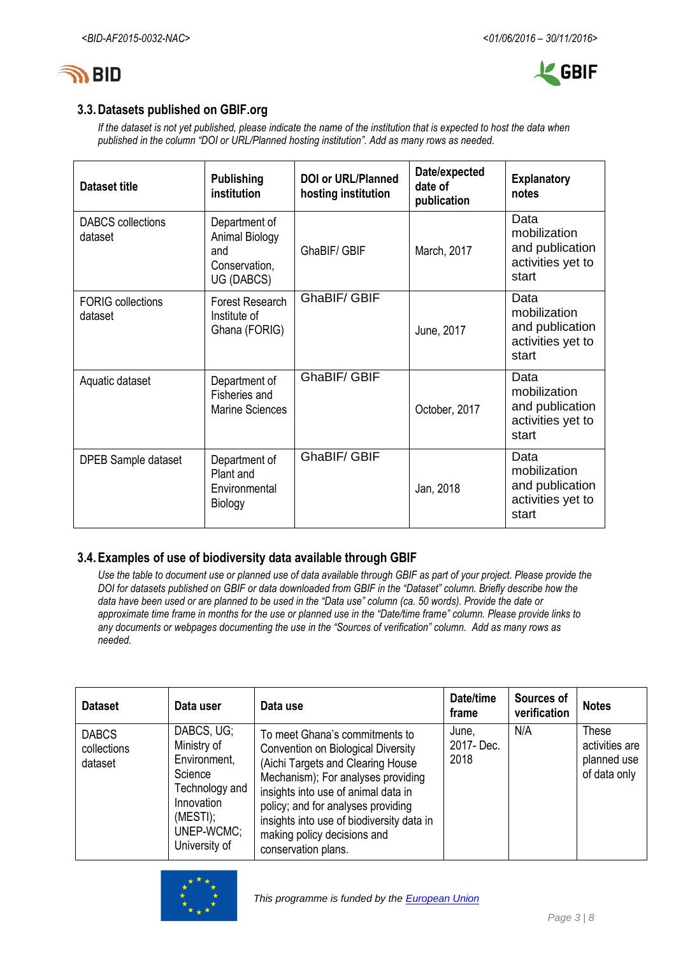



## **3.3.Datasets published on GBIF.org**

*If the dataset is not yet published, please indicate the name of the institution that is expected to host the data when published in the column "DOI or URL/Planned hosting institution". Add as many rows as needed.*

| <b>Dataset title</b>                | <b>Publishing</b><br>institution                                      | <b>DOI or URL/Planned</b><br>hosting institution | Date/expected<br>date of<br>publication | <b>Explanatory</b><br>notes                                           |
|-------------------------------------|-----------------------------------------------------------------------|--------------------------------------------------|-----------------------------------------|-----------------------------------------------------------------------|
| DABCS collections<br>dataset        | Department of<br>Animal Biology<br>and<br>Conservation,<br>UG (DABCS) | GhaBIF/ GBIF                                     | March, 2017                             | Data<br>mobilization<br>and publication<br>activities yet to<br>start |
| <b>FORIG</b> collections<br>dataset | Forest Research<br>Institute of<br>Ghana (FORIG)                      | GhaBIF/ GBIF                                     | June, 2017                              | Data<br>mobilization<br>and publication<br>activities yet to<br>start |
| Aquatic dataset                     | Department of<br>Fisheries and<br><b>Marine Sciences</b>              | GhaBIF/ GBIF                                     | October, 2017                           | Data<br>mobilization<br>and publication<br>activities yet to<br>start |
| DPEB Sample dataset                 | Department of<br>Plant and<br>Environmental<br>Biology                | GhaBIF/ GBIF                                     | Jan, 2018                               | Data<br>mobilization<br>and publication<br>activities yet to<br>start |

### **3.4.Examples of use of biodiversity data available through GBIF**

*Use the table to document use or planned use of data available through GBIF as part of your project. Please provide the DOI for datasets published on GBIF or data downloaded from GBIF in the "Dataset" column. Briefly describe how the data have been used or are planned to be used in the "Data use" column (ca. 50 words). Provide the date or approximate time frame in months for the use or planned use in the "Date/time frame" column. Please provide links to any documents or webpages documenting the use in the "Sources of verification" column. Add as many rows as needed.*

| <b>Dataset</b>                         | Data user                                                                                                                       | Data use                                                                                                                                                                                                                                                                                                                        | Date/time<br>frame         | Sources of<br>verification | <b>Notes</b>                                           |
|----------------------------------------|---------------------------------------------------------------------------------------------------------------------------------|---------------------------------------------------------------------------------------------------------------------------------------------------------------------------------------------------------------------------------------------------------------------------------------------------------------------------------|----------------------------|----------------------------|--------------------------------------------------------|
| <b>DABCS</b><br>collections<br>dataset | DABCS, UG;<br>Ministry of<br>Environment,<br>Science<br>Technology and<br>Innovation<br>(MESTI);<br>UNEP-WCMC;<br>University of | To meet Ghana's commitments to<br>Convention on Biological Diversity<br>(Aichi Targets and Clearing House<br>Mechanism); For analyses providing<br>insights into use of animal data in<br>policy; and for analyses providing<br>insights into use of biodiversity data in<br>making policy decisions and<br>conservation plans. | June,<br>2017-Dec.<br>2018 | N/A                        | These<br>activities are<br>planned use<br>of data only |

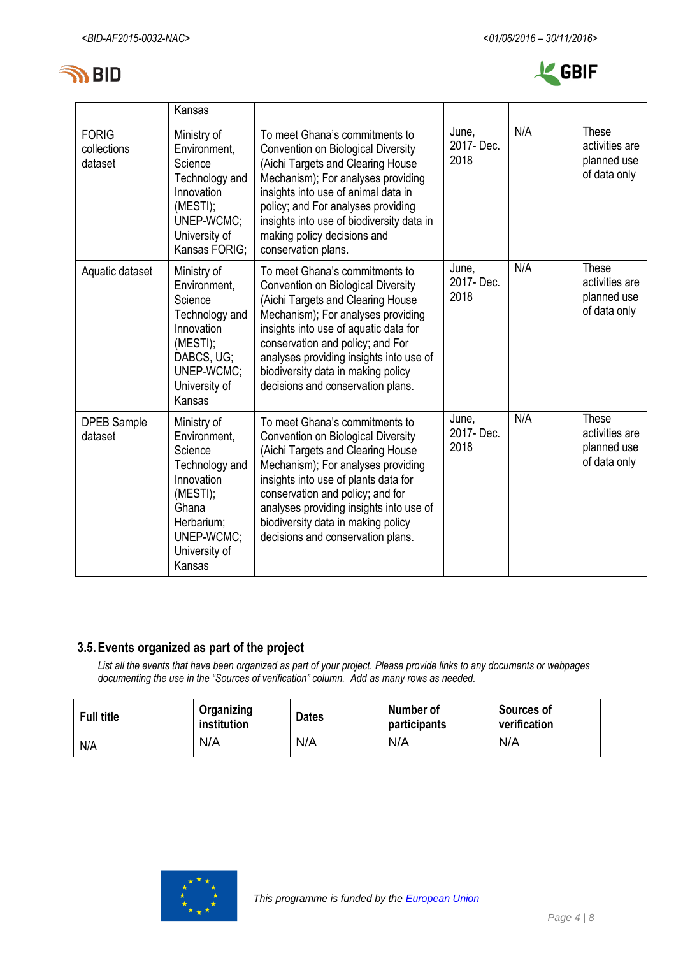



|                                        | Kansas                                                                                                                                             |                                                                                                                                                                                                                                                                                                                                                           |                            |     |                                                               |
|----------------------------------------|----------------------------------------------------------------------------------------------------------------------------------------------------|-----------------------------------------------------------------------------------------------------------------------------------------------------------------------------------------------------------------------------------------------------------------------------------------------------------------------------------------------------------|----------------------------|-----|---------------------------------------------------------------|
| <b>FORIG</b><br>collections<br>dataset | Ministry of<br>Environment,<br>Science<br>Technology and<br>Innovation<br>(MESTI);<br>UNEP-WCMC;<br>University of<br>Kansas FORIG:                 | To meet Ghana's commitments to<br><b>Convention on Biological Diversity</b><br>(Aichi Targets and Clearing House<br>Mechanism); For analyses providing<br>insights into use of animal data in<br>policy; and For analyses providing<br>insights into use of biodiversity data in<br>making policy decisions and<br>conservation plans.                    | June,<br>2017-Dec.<br>2018 | N/A | <b>These</b><br>activities are<br>planned use<br>of data only |
| Aquatic dataset                        | Ministry of<br>Environment,<br>Science<br>Technology and<br>Innovation<br>(MESTI);<br>DABCS, UG;<br>UNEP-WCMC;<br>University of<br>Kansas          | To meet Ghana's commitments to<br><b>Convention on Biological Diversity</b><br>(Aichi Targets and Clearing House<br>Mechanism); For analyses providing<br>insights into use of aquatic data for<br>conservation and policy; and For<br>analyses providing insights into use of<br>biodiversity data in making policy<br>decisions and conservation plans. | June,<br>2017-Dec.<br>2018 | N/A | <b>These</b><br>activities are<br>planned use<br>of data only |
| <b>DPEB Sample</b><br>dataset          | Ministry of<br>Environment,<br>Science<br>Technology and<br>Innovation<br>(MESTI);<br>Ghana<br>Herbarium;<br>UNEP-WCMC;<br>University of<br>Kansas | To meet Ghana's commitments to<br>Convention on Biological Diversity<br>(Aichi Targets and Clearing House<br>Mechanism); For analyses providing<br>insights into use of plants data for<br>conservation and policy; and for<br>analyses providing insights into use of<br>biodiversity data in making policy<br>decisions and conservation plans.         | June,<br>2017-Dec.<br>2018 | N/A | These<br>activities are<br>planned use<br>of data only        |

## **3.5.Events organized as part of the project**

*List all the events that have been organized as part of your project. Please provide links to any documents or webpages documenting the use in the "Sources of verification" column. Add as many rows as needed.*

| Full title | Organizing<br>institution | <b>Dates</b> | Number of<br>participants | <b>Sources of</b><br>verification |  |  |
|------------|---------------------------|--------------|---------------------------|-----------------------------------|--|--|
| N/A        | N/A                       | N/A          | N/A                       | N/A                               |  |  |

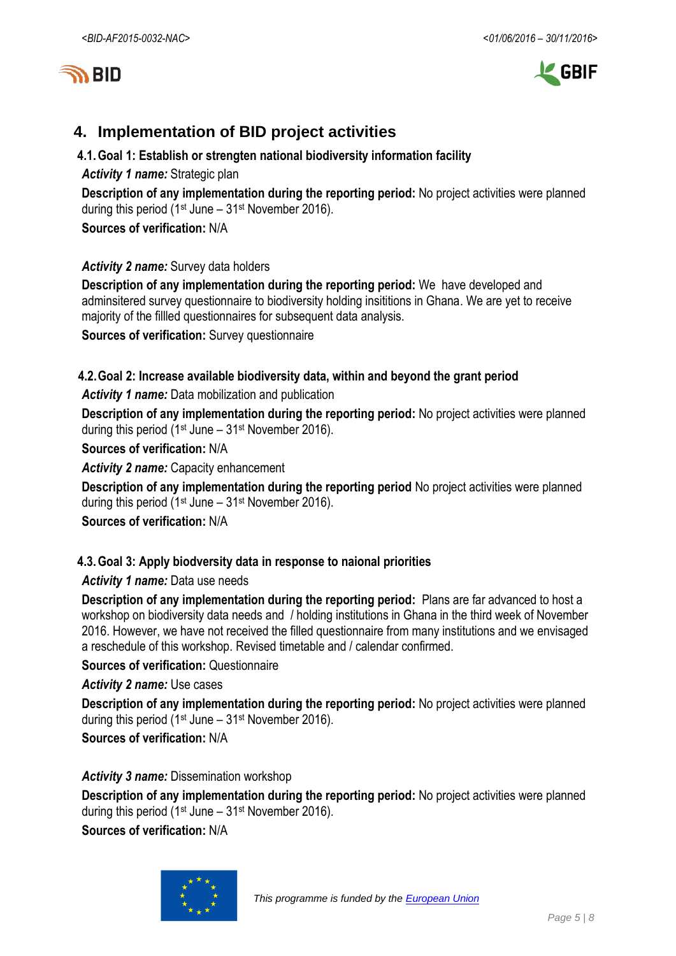



# **4. Implementation of BID project activities**

### **4.1.Goal 1: Establish or strengten national biodiversity information facility**

*Activity 1 name:* Strategic plan

**Description of any implementation during the reporting period:** No project activities were planned during this period (1st June – 31st November 2016).

**Sources of verification:** N/A

### *Activity 2 name:* Survey data holders

**Description of any implementation during the reporting period:** We have developed and adminsitered survey questionnaire to biodiversity holding insititions in Ghana. We are yet to receive majority of the fillled questionnaires for subsequent data analysis.

**Sources of verification:** Survey questionnaire

# **4.2.Goal 2: Increase available biodiversity data, within and beyond the grant period**

*Activity 1 name:* Data mobilization and publication

**Description of any implementation during the reporting period:** No project activities were planned during this period (1<sup>st</sup> June –  $31$ <sup>st</sup> November 2016).

**Sources of verification:** N/A

*Activity 2 name:* Capacity enhancement

**Description of any implementation during the reporting period** No project activities were planned during this period (1<sup>st</sup> June –  $31$ <sup>st</sup> November 2016).

**Sources of verification:** N/A

### **4.3.Goal 3: Apply biodversity data in response to naional priorities**

### *Activity 1 name:* Data use needs

**Description of any implementation during the reporting period:** Plans are far advanced to host a workshop on biodiversity data needs and / holding institutions in Ghana in the third week of November 2016. However, we have not received the filled questionnaire from many institutions and we envisaged a reschedule of this workshop. Revised timetable and / calendar confirmed.

**Sources of verification: Questionnaire** 

*Activity 2 name:* Use cases

**Description of any implementation during the reporting period:** No project activities were planned during this period (1<sup>st</sup> June –  $31$ <sup>st</sup> November 2016).

**Sources of verification:** N/A

*Activity 3 name:* Dissemination workshop

**Description of any implementation during the reporting period:** No project activities were planned during this period (1<sup>st</sup> June –  $31$ <sup>st</sup> November 2016).

**Sources of verification:** N/A

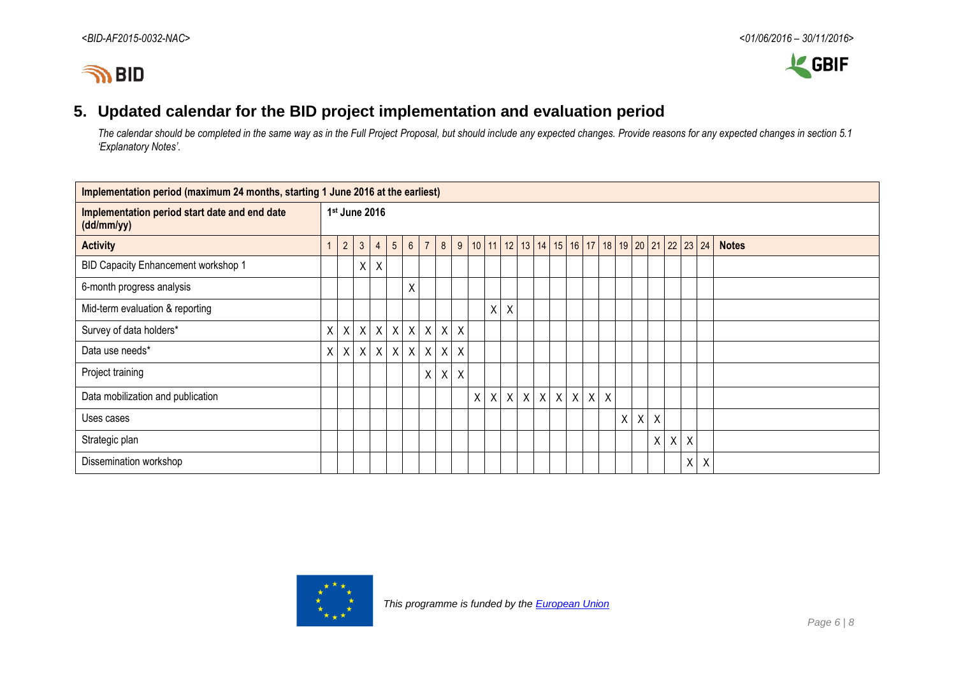

# **5. Updated calendar for the BID project implementation and evaluation period**

*The calendar should be completed in the same way as in the Full Project Proposal, but should include any expected changes. Provide reasons for any expected changes in section 5.1 'Explanatory Notes'.*

| Implementation period (maximum 24 months, starting 1 June 2016 at the earliest) |   |                |                           |                  |                |                 |                          |  |              |  |   |   |         |   |              |         |         |                                                    |         |         |              |   |         |         |              |
|---------------------------------------------------------------------------------|---|----------------|---------------------------|------------------|----------------|-----------------|--------------------------|--|--------------|--|---|---|---------|---|--------------|---------|---------|----------------------------------------------------|---------|---------|--------------|---|---------|---------|--------------|
| Implementation period start date and end date<br>(dd/mm/yy)                     |   | 1st June 2016  |                           |                  |                |                 |                          |  |              |  |   |   |         |   |              |         |         |                                                    |         |         |              |   |         |         |              |
| <b>Activity</b>                                                                 |   | $\overline{2}$ | $\mathbf{3}$              | $\overline{4}$   | 5 <sup>5</sup> | $6\overline{6}$ |                          |  |              |  |   |   |         |   |              |         |         | 7 8 9 10 11 12 13 14 15 16 17 18 19 20 21 22 23 24 |         |         |              |   |         |         | <b>Notes</b> |
| BID Capacity Enhancement workshop 1                                             |   |                | Χ                         | $\boldsymbol{X}$ |                |                 |                          |  |              |  |   |   |         |   |              |         |         |                                                    |         |         |              |   |         |         |              |
| 6-month progress analysis                                                       |   |                |                           |                  |                | Χ               |                          |  |              |  |   |   |         |   |              |         |         |                                                    |         |         |              |   |         |         |              |
| Mid-term evaluation & reporting                                                 |   |                |                           |                  |                |                 |                          |  |              |  |   | X | $\chi$  |   |              |         |         |                                                    |         |         |              |   |         |         |              |
| Survey of data holders*                                                         | X | $\mathsf{X}$   | $\mathsf{X}$              | $\mathsf{X}$     | $\mathsf{X}$   |                 | $x \mid x \mid x \mid x$ |  |              |  |   |   |         |   |              |         |         |                                                    |         |         |              |   |         |         |              |
| Data use needs*                                                                 | X | $\mathsf{X}$   | $\boldsymbol{\mathsf{X}}$ | $\mathsf{X}$     | $\mathsf{X}$   |                 | x   x   x   x            |  |              |  |   |   |         |   |              |         |         |                                                    |         |         |              |   |         |         |              |
| Project training                                                                |   |                |                           |                  |                |                 |                          |  | $X \times X$ |  |   |   |         |   |              |         |         |                                                    |         |         |              |   |         |         |              |
| Data mobilization and publication                                               |   |                |                           |                  |                |                 |                          |  |              |  | X |   | $X$ $X$ | X | $\mathsf{X}$ | $\sf X$ | $\sf X$ | $\sf X$                                            | $\sf X$ |         |              |   |         |         |              |
| Uses cases                                                                      |   |                |                           |                  |                |                 |                          |  |              |  |   |   |         |   |              |         |         |                                                    |         | $X$ $X$ | $\mathsf{X}$ |   |         |         |              |
| Strategic plan                                                                  |   |                |                           |                  |                |                 |                          |  |              |  |   |   |         |   |              |         |         |                                                    |         |         | $\mathsf{X}$ | X | $\sf X$ |         |              |
| Dissemination workshop                                                          |   |                |                           |                  |                |                 |                          |  |              |  |   |   |         |   |              |         |         |                                                    |         |         |              |   |         | $X$ $X$ |              |



 *This programme is funded by the [European Union](http://europa.eu/)*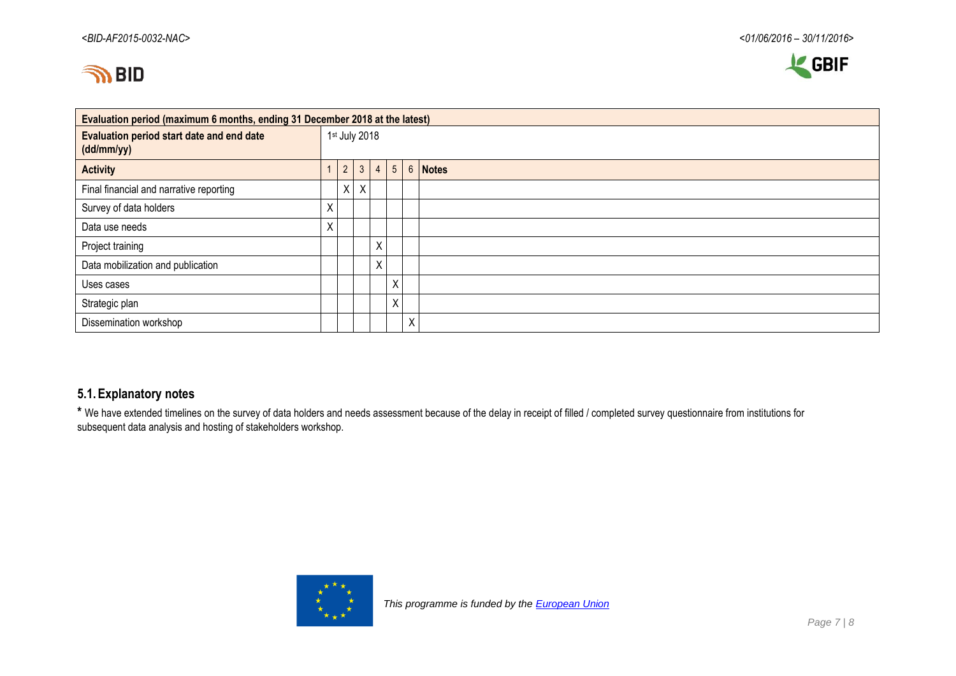



| Evaluation period (maximum 6 months, ending 31 December 2018 at the latest) |    |                |         |   |   |   |                              |  |  |  |  |  |  |
|-----------------------------------------------------------------------------|----|----------------|---------|---|---|---|------------------------------|--|--|--|--|--|--|
| Evaluation period start date and end date<br>(dd/mm/yy)                     |    | 1st July 2018  |         |   |   |   |                              |  |  |  |  |  |  |
| <b>Activity</b>                                                             |    | $\overline{2}$ | 3       |   |   |   | $4 \mid 5 \mid 6 \mid$ Notes |  |  |  |  |  |  |
| Final financial and narrative reporting                                     |    | X.             | $\sf X$ |   |   |   |                              |  |  |  |  |  |  |
| Survey of data holders                                                      | X  |                |         |   |   |   |                              |  |  |  |  |  |  |
| Data use needs                                                              | X. |                |         |   |   |   |                              |  |  |  |  |  |  |
| Project training                                                            |    |                |         | χ |   |   |                              |  |  |  |  |  |  |
| Data mobilization and publication                                           |    |                |         | χ |   |   |                              |  |  |  |  |  |  |
| Uses cases                                                                  |    |                |         |   | X |   |                              |  |  |  |  |  |  |
| Strategic plan                                                              |    |                |         |   | X |   |                              |  |  |  |  |  |  |
| Dissemination workshop                                                      |    |                |         |   |   | Χ |                              |  |  |  |  |  |  |

### **5.1.Explanatory notes**

**\*** We have extended timelines on the survey of data holders and needs assessment because of the delay in receipt of filled / completed survey questionnaire from institutions for subsequent data analysis and hosting of stakeholders workshop.